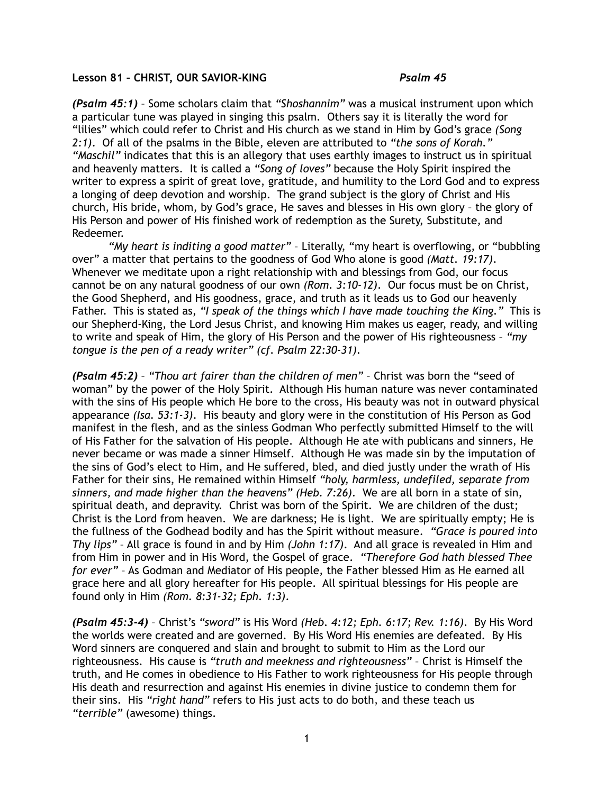## **Lesson 81 – CHRIST, OUR SAVIOR-KING** *Psalm 45*

*(Psalm 45:1)* – Some scholars claim that *"Shoshannim"* was a musical instrument upon which a particular tune was played in singing this psalm. Others say it is literally the word for "lilies" which could refer to Christ and His church as we stand in Him by God's grace *(Song 2:1)*. Of all of the psalms in the Bible, eleven are attributed to *"the sons of Korah." "Maschil"* indicates that this is an allegory that uses earthly images to instruct us in spiritual and heavenly matters. It is called a *"Song of loves"* because the Holy Spirit inspired the writer to express a spirit of great love, gratitude, and humility to the Lord God and to express a longing of deep devotion and worship. The grand subject is the glory of Christ and His church, His bride, whom, by God's grace, He saves and blesses in His own glory – the glory of His Person and power of His finished work of redemption as the Surety, Substitute, and Redeemer.

*"My heart is inditing a good matter"* – Literally, "my heart is overflowing, or "bubbling over" a matter that pertains to the goodness of God Who alone is good *(Matt. 19:17)*. Whenever we meditate upon a right relationship with and blessings from God, our focus cannot be on any natural goodness of our own *(Rom. 3:10-12)*. Our focus must be on Christ, the Good Shepherd, and His goodness, grace, and truth as it leads us to God our heavenly Father. This is stated as, *"I speak of the things which I have made touching the King."* This is our Shepherd-King, the Lord Jesus Christ, and knowing Him makes us eager, ready, and willing to write and speak of Him, the glory of His Person and the power of His righteousness – *"my tongue is the pen of a ready writer" (cf. Psalm 22:30-31)*.

*(Psalm 45:2)* – *"Thou art fairer than the children of men"* – Christ was born the "seed of woman" by the power of the Holy Spirit. Although His human nature was never contaminated with the sins of His people which He bore to the cross, His beauty was not in outward physical appearance *(Isa. 53:1-3)*. His beauty and glory were in the constitution of His Person as God manifest in the flesh, and as the sinless Godman Who perfectly submitted Himself to the will of His Father for the salvation of His people. Although He ate with publicans and sinners, He never became or was made a sinner Himself. Although He was made sin by the imputation of the sins of God's elect to Him, and He suffered, bled, and died justly under the wrath of His Father for their sins, He remained within Himself *"holy, harmless, undefiled, separate from sinners, and made higher than the heavens" (Heb. 7:26)*. We are all born in a state of sin, spiritual death, and depravity. Christ was born of the Spirit. We are children of the dust; Christ is the Lord from heaven. We are darkness; He is light. We are spiritually empty; He is the fullness of the Godhead bodily and has the Spirit without measure. *"Grace is poured into Thy lips"* – All grace is found in and by Him *(John 1:17)*. And all grace is revealed in Him and from Him in power and in His Word, the Gospel of grace. *"Therefore God hath blessed Thee for ever"* – As Godman and Mediator of His people, the Father blessed Him as He earned all grace here and all glory hereafter for His people. All spiritual blessings for His people are found only in Him *(Rom. 8:31-32; Eph. 1:3)*.

*(Psalm 45:3-4)* – Christ's *"sword"* is His Word *(Heb. 4:12; Eph. 6:17; Rev. 1:16)*. By His Word the worlds were created and are governed. By His Word His enemies are defeated. By His Word sinners are conquered and slain and brought to submit to Him as the Lord our righteousness. His cause is *"truth and meekness and righteousness"* – Christ is Himself the truth, and He comes in obedience to His Father to work righteousness for His people through His death and resurrection and against His enemies in divine justice to condemn them for their sins. His *"right hand"* refers to His just acts to do both, and these teach us *"terrible"* (awesome) things.